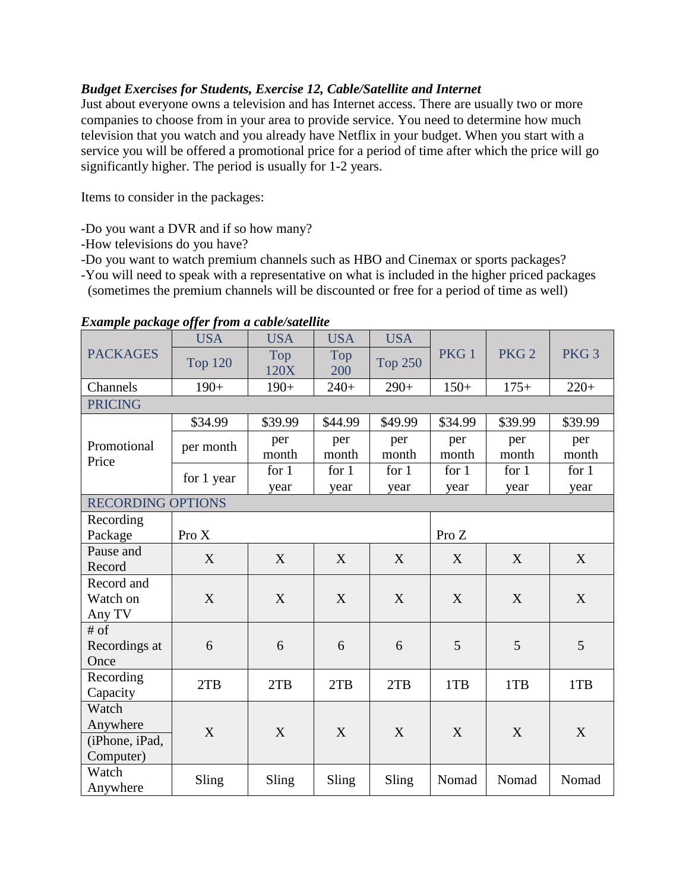# *Budget Exercises for Students, Exercise 12, Cable/Satellite and Internet*

Just about everyone owns a television and has Internet access. There are usually two or more companies to choose from in your area to provide service. You need to determine how much television that you watch and you already have Netflix in your budget. When you start with a service you will be offered a promotional price for a period of time after which the price will go significantly higher. The period is usually for 1-2 years.

Items to consider in the packages:

-Do you want a DVR and if so how many?

-How televisions do you have?

-Do you want to watch premium channels such as HBO and Cinemax or sports packages?

-You will need to speak with a representative on what is included in the higher priced packages (sometimes the premium channels will be discounted or free for a period of time as well)

|                                                  | <b>USA</b>     | <b>USA</b>   | <b>USA</b>   | <b>USA</b>     | PKG <sub>1</sub> | PKG <sub>2</sub> |                  |
|--------------------------------------------------|----------------|--------------|--------------|----------------|------------------|------------------|------------------|
| <b>PACKAGES</b>                                  | <b>Top 120</b> | Top<br>120X  | Top<br>200   | <b>Top 250</b> |                  |                  | PKG <sub>3</sub> |
| Channels                                         | $190+$         | $190+$       | $240+$       | $290+$         | $150+$           | $175+$           | $220+$           |
| <b>PRICING</b>                                   |                |              |              |                |                  |                  |                  |
|                                                  | \$34.99        | \$39.99      | \$44.99      | \$49.99        | \$34.99          | \$39.99          | \$39.99          |
| Promotional                                      | per month      | per<br>month | per<br>month | per<br>month   | per<br>month     | per<br>month     | per<br>month     |
| Price                                            |                | for $1$      | for $1$      | for $1$        | for $1$          | for $1$          | for $1$          |
|                                                  | for 1 year     | year         | year         | year           | year             | year             | year             |
| <b>RECORDING OPTIONS</b>                         |                |              |              |                |                  |                  |                  |
| Recording                                        |                |              |              |                |                  |                  |                  |
| Package                                          | Pro X          |              |              |                | Pro Z            |                  |                  |
| Pause and<br>Record                              | X              | X            | X            | X              | X                | X                | X                |
| Record and<br>Watch on<br>Any TV                 | X              | X            | X            | X              | X                | X                | X                |
| $#$ of<br>Recordings at<br>Once                  | 6              | 6            | 6            | 6              | 5                | 5                | 5                |
| Recording<br>Capacity                            | 2TB            | 2TB          | 2TB          | 2TB            | 1TB              | 1TB              | 1TB              |
| Watch<br>Anywhere<br>(iPhone, iPad,<br>Computer) | X              | X            | X            | X              | X                | X                | X                |
| Watch<br>Anywhere                                | Sling          | Sling        | Sling        | Sling          | Nomad            | Nomad            | Nomad            |

#### *Example package offer from a cable/satellite*